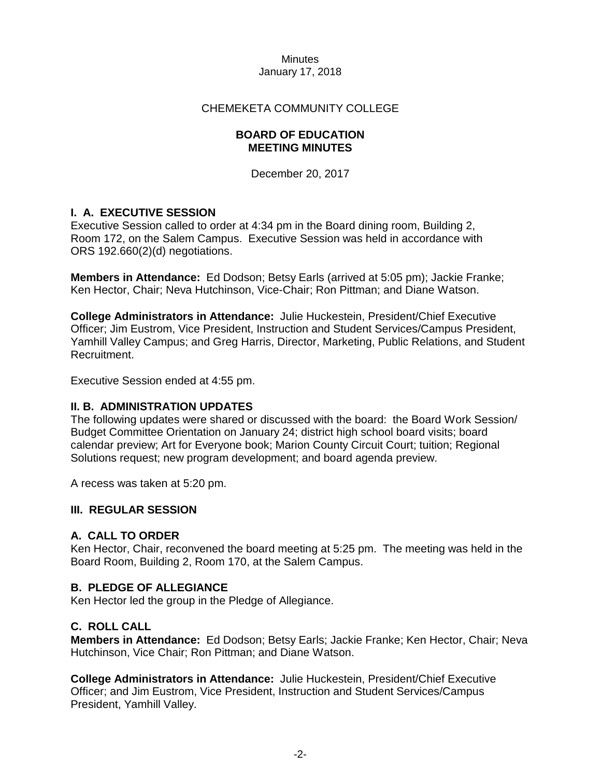# CHEMEKETA COMMUNITY COLLEGE

## **BOARD OF EDUCATION MEETING MINUTES**

December 20, 2017

# **I. A. EXECUTIVE SESSION**

Executive Session called to order at 4:34 pm in the Board dining room, Building 2, Room 172, on the Salem Campus. Executive Session was held in accordance with ORS 192.660(2)(d) negotiations.

**Members in Attendance:** Ed Dodson; Betsy Earls (arrived at 5:05 pm); Jackie Franke; Ken Hector, Chair; Neva Hutchinson, Vice-Chair; Ron Pittman; and Diane Watson.

**College Administrators in Attendance:** Julie Huckestein, President/Chief Executive Officer; Jim Eustrom, Vice President, Instruction and Student Services/Campus President, Yamhill Valley Campus; and Greg Harris, Director, Marketing, Public Relations, and Student Recruitment.

Executive Session ended at 4:55 pm.

## **II. B. ADMINISTRATION UPDATES**

The following updates were shared or discussed with the board: the Board Work Session/ Budget Committee Orientation on January 24; district high school board visits; board calendar preview; Art for Everyone book; Marion County Circuit Court; tuition; Regional Solutions request; new program development; and board agenda preview.

A recess was taken at 5:20 pm.

## **III. REGULAR SESSION**

## **A. CALL TO ORDER**

Ken Hector, Chair, reconvened the board meeting at 5:25 pm. The meeting was held in the Board Room, Building 2, Room 170, at the Salem Campus.

## **B. PLEDGE OF ALLEGIANCE**

Ken Hector led the group in the Pledge of Allegiance.

## **C. ROLL CALL**

**Members in Attendance:** Ed Dodson; Betsy Earls; Jackie Franke; Ken Hector, Chair; Neva Hutchinson, Vice Chair; Ron Pittman; and Diane Watson.

**College Administrators in Attendance:** Julie Huckestein, President/Chief Executive Officer; and Jim Eustrom, Vice President, Instruction and Student Services/Campus President, Yamhill Valley.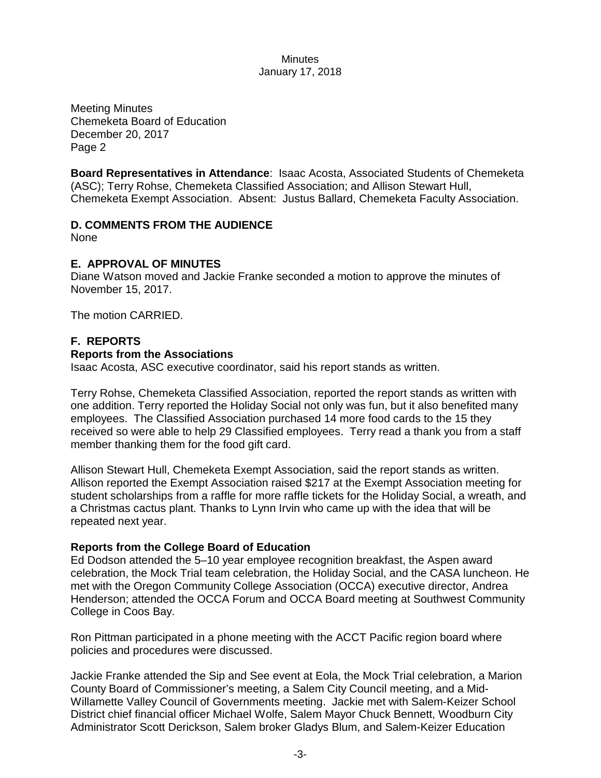Meeting Minutes Chemeketa Board of Education December 20, 2017 Page 2

**Board Representatives in Attendance**: Isaac Acosta, Associated Students of Chemeketa (ASC); Terry Rohse, Chemeketa Classified Association; and Allison Stewart Hull, Chemeketa Exempt Association. Absent: Justus Ballard, Chemeketa Faculty Association.

# **D. COMMENTS FROM THE AUDIENCE**

None

# **E. APPROVAL OF MINUTES**

Diane Watson moved and Jackie Franke seconded a motion to approve the minutes of November 15, 2017.

The motion CARRIED.

# **F. REPORTS**

## **Reports from the Associations**

Isaac Acosta, ASC executive coordinator, said his report stands as written.

Terry Rohse, Chemeketa Classified Association, reported the report stands as written with one addition. Terry reported the Holiday Social not only was fun, but it also benefited many employees. The Classified Association purchased 14 more food cards to the 15 they received so were able to help 29 Classified employees. Terry read a thank you from a staff member thanking them for the food gift card.

Allison Stewart Hull, Chemeketa Exempt Association, said the report stands as written. Allison reported the Exempt Association raised \$217 at the Exempt Association meeting for student scholarships from a raffle for more raffle tickets for the Holiday Social, a wreath, and a Christmas cactus plant. Thanks to Lynn Irvin who came up with the idea that will be repeated next year.

## **Reports from the College Board of Education**

Ed Dodson attended the 5–10 year employee recognition breakfast, the Aspen award celebration, the Mock Trial team celebration, the Holiday Social, and the CASA luncheon. He met with the Oregon Community College Association (OCCA) executive director, Andrea Henderson; attended the OCCA Forum and OCCA Board meeting at Southwest Community College in Coos Bay.

Ron Pittman participated in a phone meeting with the ACCT Pacific region board where policies and procedures were discussed.

Jackie Franke attended the Sip and See event at Eola, the Mock Trial celebration, a Marion County Board of Commissioner's meeting, a Salem City Council meeting, and a Mid-Willamette Valley Council of Governments meeting. Jackie met with Salem-Keizer School District chief financial officer Michael Wolfe, Salem Mayor Chuck Bennett, Woodburn City Administrator Scott Derickson, Salem broker Gladys Blum, and Salem-Keizer Education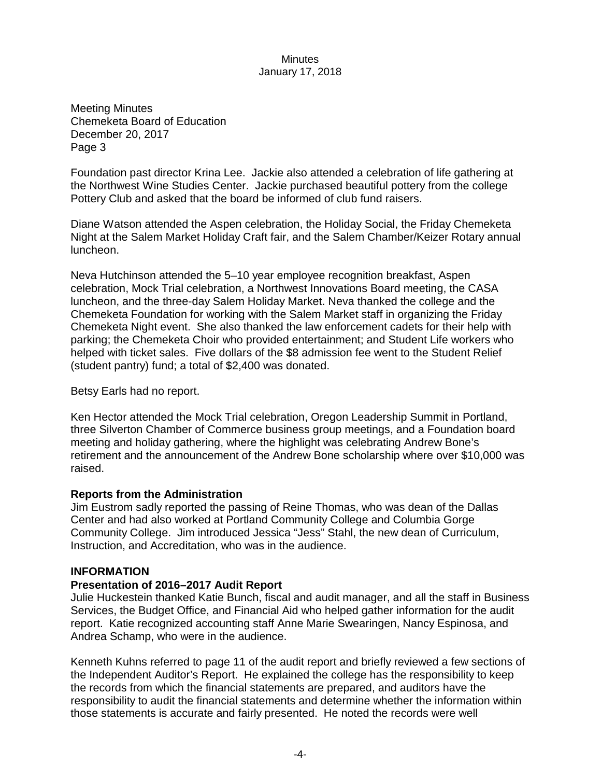Meeting Minutes Chemeketa Board of Education December 20, 2017 Page 3

Foundation past director Krina Lee. Jackie also attended a celebration of life gathering at the Northwest Wine Studies Center. Jackie purchased beautiful pottery from the college Pottery Club and asked that the board be informed of club fund raisers.

Diane Watson attended the Aspen celebration, the Holiday Social, the Friday Chemeketa Night at the Salem Market Holiday Craft fair, and the Salem Chamber/Keizer Rotary annual luncheon.

Neva Hutchinson attended the 5–10 year employee recognition breakfast, Aspen celebration, Mock Trial celebration, a Northwest Innovations Board meeting, the CASA luncheon, and the three-day Salem Holiday Market. Neva thanked the college and the Chemeketa Foundation for working with the Salem Market staff in organizing the Friday Chemeketa Night event. She also thanked the law enforcement cadets for their help with parking; the Chemeketa Choir who provided entertainment; and Student Life workers who helped with ticket sales. Five dollars of the \$8 admission fee went to the Student Relief (student pantry) fund; a total of \$2,400 was donated.

Betsy Earls had no report.

Ken Hector attended the Mock Trial celebration, Oregon Leadership Summit in Portland, three Silverton Chamber of Commerce business group meetings, and a Foundation board meeting and holiday gathering, where the highlight was celebrating Andrew Bone's retirement and the announcement of the Andrew Bone scholarship where over \$10,000 was raised.

## **Reports from the Administration**

Jim Eustrom sadly reported the passing of Reine Thomas, who was dean of the Dallas Center and had also worked at Portland Community College and Columbia Gorge Community College. Jim introduced Jessica "Jess" Stahl, the new dean of Curriculum, Instruction, and Accreditation, who was in the audience.

## **INFORMATION**

## **Presentation of 2016–2017 Audit Report**

Julie Huckestein thanked Katie Bunch, fiscal and audit manager, and all the staff in Business Services, the Budget Office, and Financial Aid who helped gather information for the audit report. Katie recognized accounting staff Anne Marie Swearingen, Nancy Espinosa, and Andrea Schamp, who were in the audience.

Kenneth Kuhns referred to page 11 of the audit report and briefly reviewed a few sections of the Independent Auditor's Report. He explained the college has the responsibility to keep the records from which the financial statements are prepared, and auditors have the responsibility to audit the financial statements and determine whether the information within those statements is accurate and fairly presented. He noted the records were well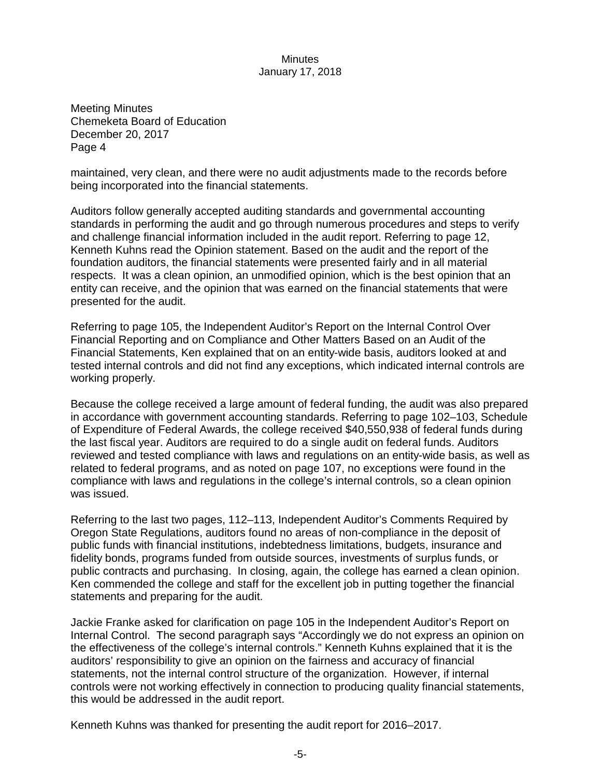Meeting Minutes Chemeketa Board of Education December 20, 2017 Page 4

maintained, very clean, and there were no audit adjustments made to the records before being incorporated into the financial statements.

Auditors follow generally accepted auditing standards and governmental accounting standards in performing the audit and go through numerous procedures and steps to verify and challenge financial information included in the audit report. Referring to page 12, Kenneth Kuhns read the Opinion statement. Based on the audit and the report of the foundation auditors, the financial statements were presented fairly and in all material respects. It was a clean opinion, an unmodified opinion, which is the best opinion that an entity can receive, and the opinion that was earned on the financial statements that were presented for the audit.

Referring to page 105, the Independent Auditor's Report on the Internal Control Over Financial Reporting and on Compliance and Other Matters Based on an Audit of the Financial Statements, Ken explained that on an entity-wide basis, auditors looked at and tested internal controls and did not find any exceptions, which indicated internal controls are working properly.

Because the college received a large amount of federal funding, the audit was also prepared in accordance with government accounting standards. Referring to page 102–103, Schedule of Expenditure of Federal Awards, the college received \$40,550,938 of federal funds during the last fiscal year. Auditors are required to do a single audit on federal funds. Auditors reviewed and tested compliance with laws and regulations on an entity-wide basis, as well as related to federal programs, and as noted on page 107, no exceptions were found in the compliance with laws and regulations in the college's internal controls, so a clean opinion was issued.

Referring to the last two pages, 112–113, Independent Auditor's Comments Required by Oregon State Regulations, auditors found no areas of non-compliance in the deposit of public funds with financial institutions, indebtedness limitations, budgets, insurance and fidelity bonds, programs funded from outside sources, investments of surplus funds, or public contracts and purchasing. In closing, again, the college has earned a clean opinion. Ken commended the college and staff for the excellent job in putting together the financial statements and preparing for the audit.

Jackie Franke asked for clarification on page 105 in the Independent Auditor's Report on Internal Control. The second paragraph says "Accordingly we do not express an opinion on the effectiveness of the college's internal controls." Kenneth Kuhns explained that it is the auditors' responsibility to give an opinion on the fairness and accuracy of financial statements, not the internal control structure of the organization. However, if internal controls were not working effectively in connection to producing quality financial statements, this would be addressed in the audit report.

Kenneth Kuhns was thanked for presenting the audit report for 2016–2017.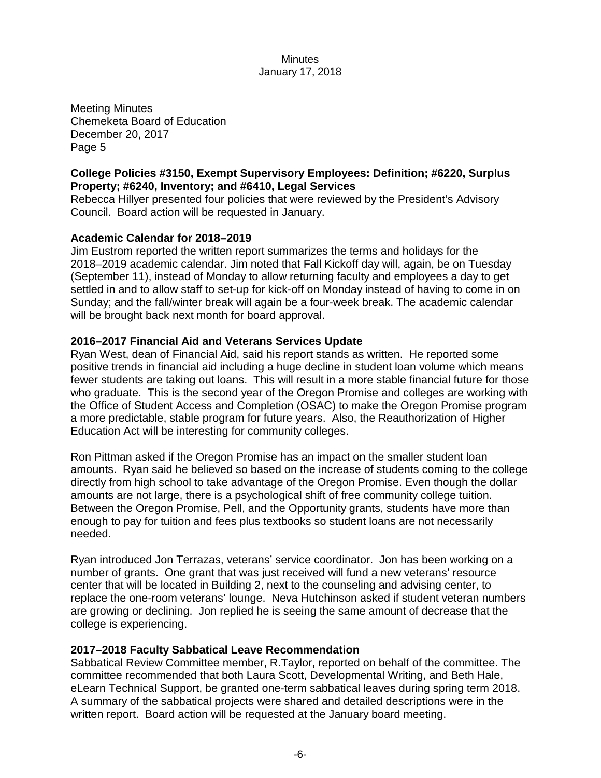Meeting Minutes Chemeketa Board of Education December 20, 2017 Page 5

# **College Policies #3150, Exempt Supervisory Employees: Definition; #6220, Surplus Property; #6240, Inventory; and #6410, Legal Services**

Rebecca Hillyer presented four policies that were reviewed by the President's Advisory Council. Board action will be requested in January.

# **Academic Calendar for 2018–2019**

Jim Eustrom reported the written report summarizes the terms and holidays for the 2018–2019 academic calendar. Jim noted that Fall Kickoff day will, again, be on Tuesday (September 11), instead of Monday to allow returning faculty and employees a day to get settled in and to allow staff to set-up for kick-off on Monday instead of having to come in on Sunday; and the fall/winter break will again be a four-week break. The academic calendar will be brought back next month for board approval.

## **2016–2017 Financial Aid and Veterans Services Update**

Ryan West, dean of Financial Aid, said his report stands as written. He reported some positive trends in financial aid including a huge decline in student loan volume which means fewer students are taking out loans. This will result in a more stable financial future for those who graduate. This is the second year of the Oregon Promise and colleges are working with the Office of Student Access and Completion (OSAC) to make the Oregon Promise program a more predictable, stable program for future years. Also, the Reauthorization of Higher Education Act will be interesting for community colleges.

Ron Pittman asked if the Oregon Promise has an impact on the smaller student loan amounts. Ryan said he believed so based on the increase of students coming to the college directly from high school to take advantage of the Oregon Promise. Even though the dollar amounts are not large, there is a psychological shift of free community college tuition. Between the Oregon Promise, Pell, and the Opportunity grants, students have more than enough to pay for tuition and fees plus textbooks so student loans are not necessarily needed.

Ryan introduced Jon Terrazas, veterans' service coordinator. Jon has been working on a number of grants. One grant that was just received will fund a new veterans' resource center that will be located in Building 2, next to the counseling and advising center, to replace the one-room veterans' lounge. Neva Hutchinson asked if student veteran numbers are growing or declining. Jon replied he is seeing the same amount of decrease that the college is experiencing.

## **2017–2018 Faculty Sabbatical Leave Recommendation**

Sabbatical Review Committee member, R.Taylor, reported on behalf of the committee. The committee recommended that both Laura Scott, Developmental Writing, and Beth Hale, eLearn Technical Support, be granted one-term sabbatical leaves during spring term 2018. A summary of the sabbatical projects were shared and detailed descriptions were in the written report. Board action will be requested at the January board meeting.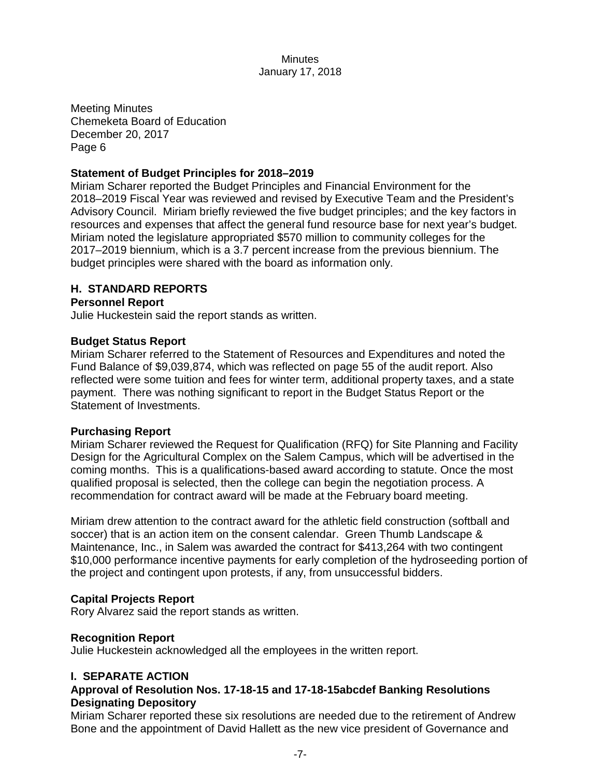Meeting Minutes Chemeketa Board of Education December 20, 2017 Page 6

### **Statement of Budget Principles for 2018–2019**

Miriam Scharer reported the Budget Principles and Financial Environment for the 2018–2019 Fiscal Year was reviewed and revised by Executive Team and the President's Advisory Council. Miriam briefly reviewed the five budget principles; and the key factors in resources and expenses that affect the general fund resource base for next year's budget. Miriam noted the legislature appropriated \$570 million to community colleges for the 2017–2019 biennium, which is a 3.7 percent increase from the previous biennium. The budget principles were shared with the board as information only.

## **H. STANDARD REPORTS**

#### **Personnel Report**

Julie Huckestein said the report stands as written.

#### **Budget Status Report**

Miriam Scharer referred to the Statement of Resources and Expenditures and noted the Fund Balance of \$9,039,874, which was reflected on page 55 of the audit report. Also reflected were some tuition and fees for winter term, additional property taxes, and a state payment. There was nothing significant to report in the Budget Status Report or the Statement of Investments.

#### **Purchasing Report**

Miriam Scharer reviewed the Request for Qualification (RFQ) for Site Planning and Facility Design for the Agricultural Complex on the Salem Campus, which will be advertised in the coming months. This is a qualifications-based award according to statute. Once the most qualified proposal is selected, then the college can begin the negotiation process. A recommendation for contract award will be made at the February board meeting.

Miriam drew attention to the contract award for the athletic field construction (softball and soccer) that is an action item on the consent calendar. Green Thumb Landscape & Maintenance, Inc., in Salem was awarded the contract for \$413,264 with two contingent \$10,000 performance incentive payments for early completion of the hydroseeding portion of the project and contingent upon protests, if any, from unsuccessful bidders.

## **Capital Projects Report**

Rory Alvarez said the report stands as written.

#### **Recognition Report**

Julie Huckestein acknowledged all the employees in the written report.

## **I. SEPARATE ACTION**

# **Approval of Resolution Nos. 17-18-15 and 17-18-15abcdef Banking Resolutions Designating Depository**

Miriam Scharer reported these six resolutions are needed due to the retirement of Andrew Bone and the appointment of David Hallett as the new vice president of Governance and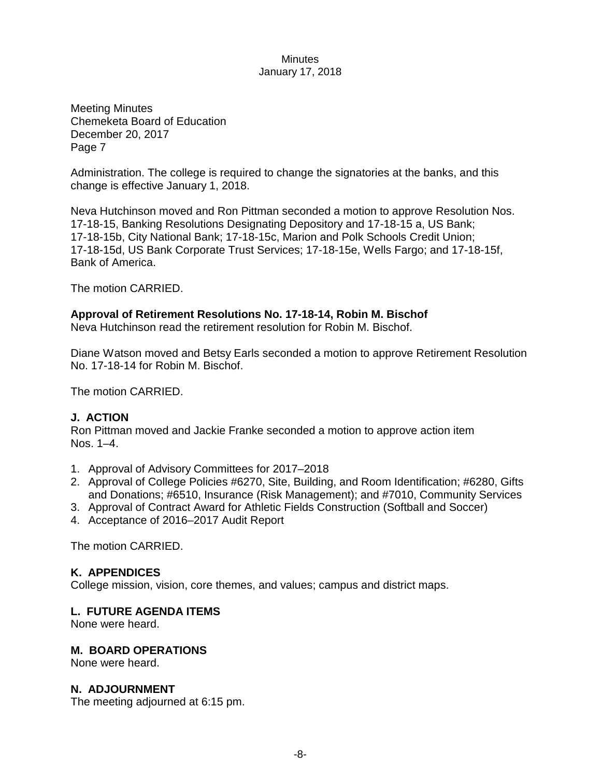Meeting Minutes Chemeketa Board of Education December 20, 2017 Page 7

Administration. The college is required to change the signatories at the banks, and this change is effective January 1, 2018.

Neva Hutchinson moved and Ron Pittman seconded a motion to approve Resolution Nos. 17-18-15, Banking Resolutions Designating Depository and 17-18-15 a, US Bank; 17-18-15b, City National Bank; 17-18-15c, Marion and Polk Schools Credit Union; 17-18-15d, US Bank Corporate Trust Services; 17-18-15e, Wells Fargo; and 17-18-15f, Bank of America.

The motion CARRIED.

# **Approval of Retirement Resolutions No. 17-18-14, Robin M. Bischof**

Neva Hutchinson read the retirement resolution for Robin M. Bischof.

Diane Watson moved and Betsy Earls seconded a motion to approve Retirement Resolution No. 17-18-14 for Robin M. Bischof.

The motion CARRIED.

# **J. ACTION**

Ron Pittman moved and Jackie Franke seconded a motion to approve action item Nos. 1–4.

- 1. Approval of Advisory Committees for 2017–2018
- 2. Approval of College Policies #6270, Site, Building, and Room Identification; #6280, Gifts and Donations; #6510, Insurance (Risk Management); and #7010, Community Services
- 3. Approval of Contract Award for Athletic Fields Construction (Softball and Soccer)
- 4. Acceptance of 2016–2017 Audit Report

The motion CARRIED.

## **K. APPENDICES**

College mission, vision, core themes, and values; campus and district maps.

## **L. FUTURE AGENDA ITEMS**

None were heard.

#### **M. BOARD OPERATIONS**

None were heard.

#### **N. ADJOURNMENT**

The meeting adjourned at 6:15 pm.